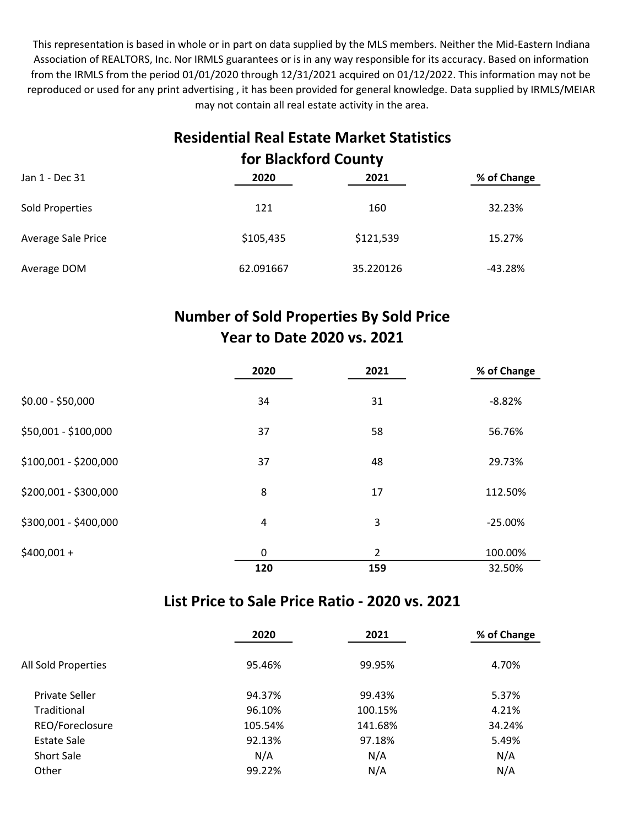This representation is based in whole or in part on data supplied by the MLS members. Neither the Mid-Eastern Indiana Association of REALTORS, Inc. Nor IRMLS guarantees or is in any way responsible for its accuracy. Based on information from the IRMLS from the period 01/01/2020 through 12/31/2021 acquired on 01/12/2022. This information may not be reproduced or used for any print advertising , it has been provided for general knowledge. Data supplied by IRMLS/MEIAR may not contain all real estate activity in the area.

# Residential Real Estate Market Statistics for Blackford County

| Jan 1 - Dec 31     | 2020      | 2021      | % of Change |  |  |
|--------------------|-----------|-----------|-------------|--|--|
| Sold Properties    | 121       | 160       | 32.23%      |  |  |
| Average Sale Price | \$105,435 | \$121,539 | 15.27%      |  |  |
| Average DOM        | 62.091667 | 35.220126 | $-43.28%$   |  |  |

### Number of Sold Properties By Sold Price Year to Date 2020 vs. 2021

|                       | 2020        | 2021 | % of Change |
|-----------------------|-------------|------|-------------|
| $$0.00 - $50,000$     | 34          | 31   | $-8.82%$    |
| \$50,001 - \$100,000  | 37          | 58   | 56.76%      |
| \$100,001 - \$200,000 | 37          | 48   | 29.73%      |
| \$200,001 - \$300,000 | 8           | 17   | 112.50%     |
| \$300,001 - \$400,000 | 4           | 3    | $-25.00%$   |
| $$400,001 +$          | $\mathbf 0$ | 2    | 100.00%     |
|                       | 120         | 159  | 32.50%      |

#### List Price to Sale Price Ratio - 2020 vs. 2021

|                     | 2020    | 2021    | % of Change |
|---------------------|---------|---------|-------------|
| All Sold Properties | 95.46%  | 99.95%  | 4.70%       |
| Private Seller      | 94.37%  | 99.43%  | 5.37%       |
| Traditional         | 96.10%  | 100.15% | 4.21%       |
| REO/Foreclosure     | 105.54% | 141.68% | 34.24%      |
| <b>Estate Sale</b>  | 92.13%  | 97.18%  | 5.49%       |
| Short Sale          | N/A     | N/A     | N/A         |
| Other               | 99.22%  | N/A     | N/A         |
|                     |         |         |             |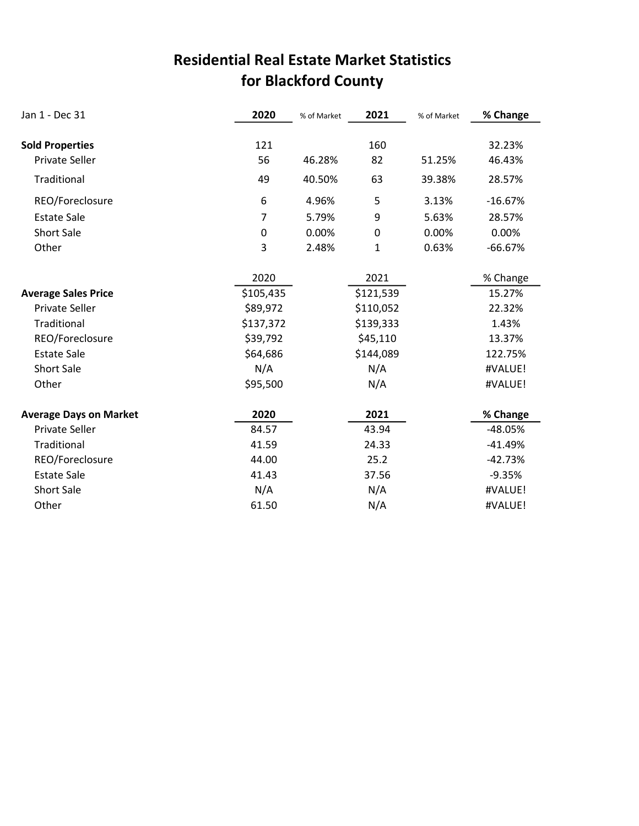## for Blackford County Residential Real Estate Market Statistics

| Jan 1 - Dec 31                | 2020           | % of Market | 2021      | % of Market | % Change  |
|-------------------------------|----------------|-------------|-----------|-------------|-----------|
|                               |                |             |           |             |           |
| <b>Sold Properties</b>        | 121            |             | 160       |             | 32.23%    |
| <b>Private Seller</b>         | 56             | 46.28%      | 82        | 51.25%      | 46.43%    |
| Traditional                   | 49             | 40.50%      | 63        | 39.38%      | 28.57%    |
| REO/Foreclosure               | 6              | 4.96%       | 5         | 3.13%       | $-16.67%$ |
| <b>Estate Sale</b>            | $\overline{7}$ | 5.79%       | 9         | 5.63%       | 28.57%    |
| <b>Short Sale</b>             | 0              | 0.00%       | $\pmb{0}$ | 0.00%       | 0.00%     |
| Other                         | 3              | 2.48%       | 1         | 0.63%       | $-66.67%$ |
|                               |                |             |           |             |           |
|                               | 2020           |             | 2021      |             | % Change  |
| <b>Average Sales Price</b>    | \$105,435      |             | \$121,539 |             | 15.27%    |
| <b>Private Seller</b>         | \$89,972       |             | \$110,052 |             | 22.32%    |
| Traditional                   | \$137,372      |             | \$139,333 |             | 1.43%     |
| REO/Foreclosure               | \$39,792       |             | \$45,110  |             | 13.37%    |
| <b>Estate Sale</b>            | \$64,686       |             | \$144,089 |             | 122.75%   |
| <b>Short Sale</b>             | N/A            |             | N/A       |             | #VALUE!   |
| Other                         | \$95,500       |             | N/A       |             | #VALUE!   |
| <b>Average Days on Market</b> | 2020           |             | 2021      |             | % Change  |
| <b>Private Seller</b>         | 84.57          |             | 43.94     |             | -48.05%   |
| Traditional                   | 41.59          |             | 24.33     |             | $-41.49%$ |
| REO/Foreclosure               | 44.00          |             | 25.2      |             | $-42.73%$ |
| <b>Estate Sale</b>            | 41.43          |             | 37.56     |             | $-9.35%$  |
| <b>Short Sale</b>             | N/A            |             | N/A       |             | #VALUE!   |
| Other                         | 61.50          |             | N/A       |             | #VALUE!   |